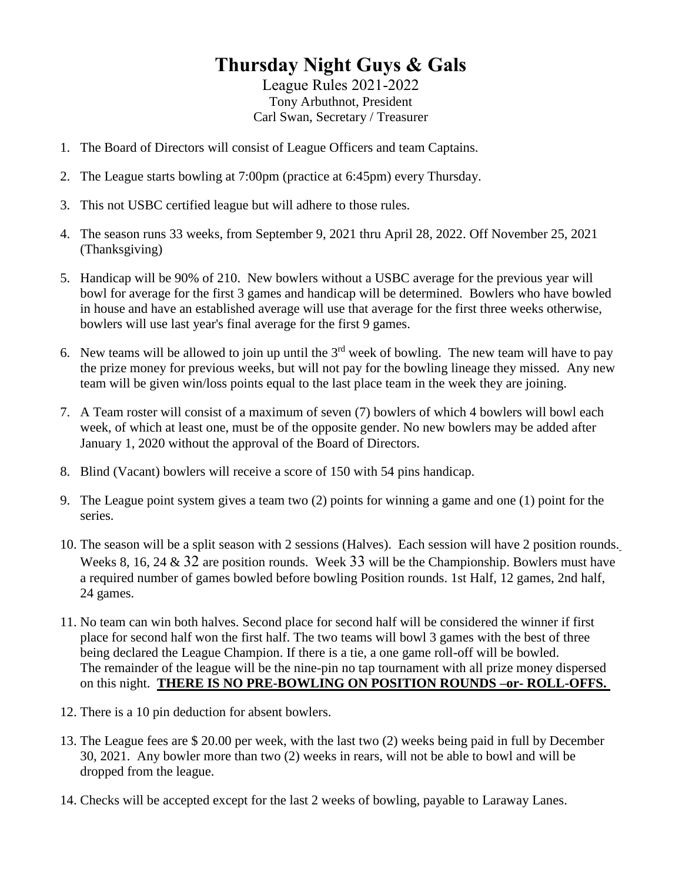## **Thursday Night Guys & Gals**

League Rules 2021-2022 Tony Arbuthnot, President Carl Swan, Secretary / Treasurer

- 1. The Board of Directors will consist of League Officers and team Captains.
- 2. The League starts bowling at 7:00pm (practice at 6:45pm) every Thursday.
- 3. This not USBC certified league but will adhere to those rules.
- 4. The season runs 33 weeks, from September 9, 2021 thru April 28, 2022. Off November 25, 2021 (Thanksgiving)
- 5. Handicap will be 90% of 210. New bowlers without a USBC average for the previous year will bowl for average for the first 3 games and handicap will be determined. Bowlers who have bowled in house and have an established average will use that average for the first three weeks otherwise, bowlers will use last year's final average for the first 9 games.
- 6. New teams will be allowed to join up until the  $3<sup>rd</sup>$  week of bowling. The new team will have to pay the prize money for previous weeks, but will not pay for the bowling lineage they missed. Any new team will be given win/loss points equal to the last place team in the week they are joining.
- 7. A Team roster will consist of a maximum of seven (7) bowlers of which 4 bowlers will bowl each week, of which at least one, must be of the opposite gender. No new bowlers may be added after January 1, 2020 without the approval of the Board of Directors.
- 8. Blind (Vacant) bowlers will receive a score of 150 with 54 pins handicap.
- 9. The League point system gives a team two (2) points for winning a game and one (1) point for the series.
- 10. The season will be a split season with 2 sessions (Halves). Each session will have 2 position rounds. Weeks 8, 16, 24 & 32 are position rounds. Week 33 will be the Championship. Bowlers must have a required number of games bowled before bowling Position rounds. 1st Half, 12 games, 2nd half, 24 games.
- 11. No team can win both halves. Second place for second half will be considered the winner if first place for second half won the first half. The two teams will bowl 3 games with the best of three being declared the League Champion. If there is a tie, a one game roll-off will be bowled. The remainder of the league will be the nine-pin no tap tournament with all prize money dispersed on this night. **THERE IS NO PRE-BOWLING ON POSITION ROUNDS –or- ROLL-OFFS.**
- 12. There is a 10 pin deduction for absent bowlers.
- 13. The League fees are \$ 20.00 per week, with the last two (2) weeks being paid in full by December 30, 2021. Any bowler more than two (2) weeks in rears, will not be able to bowl and will be dropped from the league.
- 14. Checks will be accepted except for the last 2 weeks of bowling, payable to Laraway Lanes.